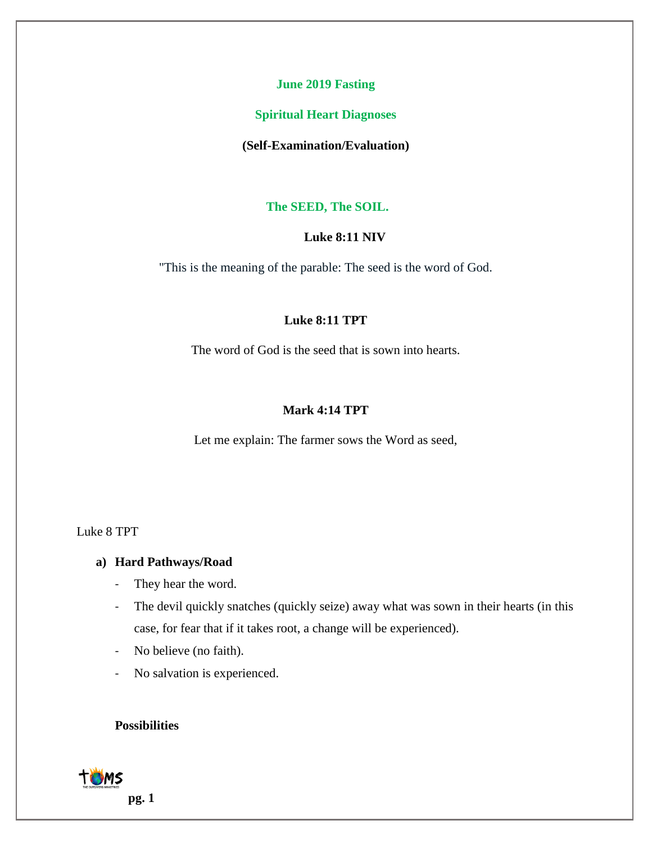#### **June 2019 Fasting**

#### **Spiritual Heart Diagnoses**

#### **(Self-Examination/Evaluation)**

#### **The SEED, The SOIL.**

### **Luke 8:11 NIV**

"This is the meaning of the parable: The seed is the word of God.

### **Luke 8:11 TPT**

The word of God is the seed that is sown into hearts.

#### **Mark 4:14 TPT**

Let me explain: The farmer sows the Word as seed,

#### Luke 8 TPT

#### **a) Hard Pathways/Road**

- They hear the word.
- The devil quickly snatches (quickly seize) away what was sown in their hearts (in this case, for fear that if it takes root, a change will be experienced).
- No believe (no faith).
- No salvation is experienced.

# **Possibilities**

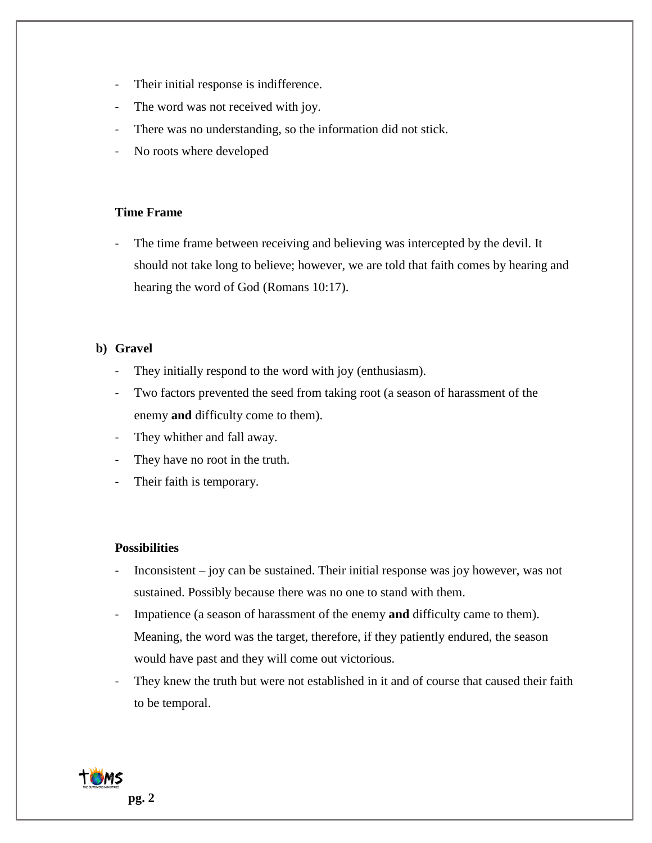- Their initial response is indifference.
- The word was not received with joy.
- There was no understanding, so the information did not stick.
- No roots where developed

### **Time Frame**

- The time frame between receiving and believing was intercepted by the devil. It should not take long to believe; however, we are told that faith comes by hearing and hearing the word of God (Romans 10:17).

# **b) Gravel**

- They initially respond to the word with joy (enthusiasm).
- Two factors prevented the seed from taking root (a season of harassment of the enemy **and** difficulty come to them).
- They whither and fall away.
- They have no root in the truth.
- Their faith is temporary.

### **Possibilities**

- $In consistent joy can be sustained. Their initial response was joy however, was not.$ sustained. Possibly because there was no one to stand with them.
- Impatience (a season of harassment of the enemy **and** difficulty came to them). Meaning, the word was the target, therefore, if they patiently endured, the season would have past and they will come out victorious.
- They knew the truth but were not established in it and of course that caused their faith to be temporal.

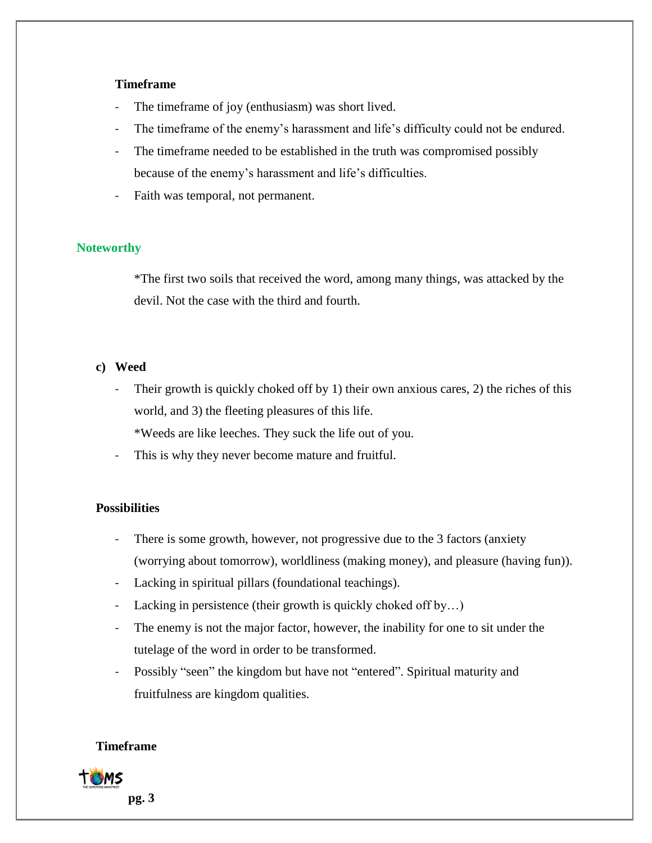### **Timeframe**

- The timeframe of joy (enthusiasm) was short lived.
- The timeframe of the enemy's harassment and life's difficulty could not be endured.
- The timeframe needed to be established in the truth was compromised possibly because of the enemy's harassment and life's difficulties.
- Faith was temporal, not permanent.

# **Noteworthy**

\*The first two soils that received the word, among many things, was attacked by the devil. Not the case with the third and fourth.

### **c) Weed**

Their growth is quickly choked off by 1) their own anxious cares, 2) the riches of this world, and 3) the fleeting pleasures of this life.

\*Weeds are like leeches. They suck the life out of you.

- This is why they never become mature and fruitful.

### **Possibilities**

- There is some growth, however, not progressive due to the 3 factors (anxiety (worrying about tomorrow), worldliness (making money), and pleasure (having fun)).
- Lacking in spiritual pillars (foundational teachings).
- Lacking in persistence (their growth is quickly choked off by...)
- The enemy is not the major factor, however, the inability for one to sit under the tutelage of the word in order to be transformed.
- Possibly "seen" the kingdom but have not "entered". Spiritual maturity and fruitfulness are kingdom qualities.

### **Timeframe**